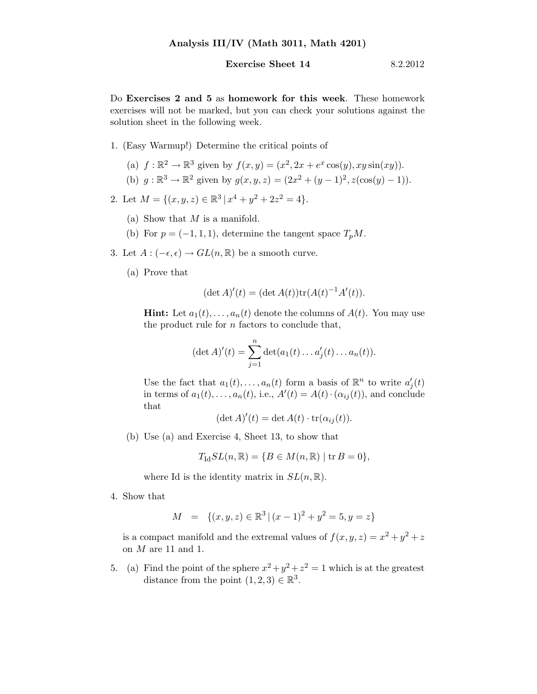## Exercise Sheet  $14$  8.2.2012

Do Exercises 2 and 5 as homework for this week. These homework exercises will not be marked, but you can check your solutions against the solution sheet in the following week.

- 1. (Easy Warmup!) Determine the critical points of
	- (a)  $f : \mathbb{R}^2 \to \mathbb{R}^3$  given by  $f(x, y) = (x^2, 2x + e^x \cos(y), xy \sin(xy)).$ (b)  $g: \mathbb{R}^3 \to \mathbb{R}^2$  given by  $g(x, y, z) = (2x^2 + (y - 1)^2, z(\cos(y) - 1)).$
- 2. Let  $M = \{(x, y, z) \in \mathbb{R}^3 \mid x^4 + y^2 + 2z^2 = 4\}.$ 
	- (a) Show that  $M$  is a manifold.
	- (b) For  $p=(-1,1,1)$ , determine the tangent space  $T_pM$ .
- 3. Let  $A: (-\epsilon, \epsilon) \to GL(n, \mathbb{R})$  be a smooth curve.
	- (a) Prove that

$$
(\det A)'(t) = (\det A(t)) \text{tr}(A(t)^{-1}A'(t)).
$$

**Hint:** Let  $a_1(t), \ldots, a_n(t)$  denote the columns of  $A(t)$ . You may use the product rule for  $n$  factors to conclude that,

$$
(\det A)'(t) = \sum_{j=1}^{n} \det(a_1(t) \dots a'_j(t) \dots a_n(t)).
$$

Use the fact that  $a_1(t), \ldots, a_n(t)$  form a basis of  $\mathbb{R}^n$  to write  $a'_i$  $\boldsymbol{g}'_j(t)$ in terms of  $a_1(t), \ldots, a_n(t)$ , i.e.,  $A'(t) = A(t) \cdot (\alpha_{ij}(t))$ , and conclude that

$$
(\det A)'(t) = \det A(t) \cdot \operatorname{tr}(\alpha_{ij}(t)).
$$

(b) Use (a) and Exercise 4, Sheet 13, to show that

$$
T_{\mathrm{Id}}SL(n,\mathbb{R}) = \{ B \in M(n,\mathbb{R}) \mid \mathrm{tr}\, B = 0 \},
$$

where Id is the identity matrix in  $SL(n, \mathbb{R})$ .

4. Show that

$$
M = \{(x, y, z) \in \mathbb{R}^3 \mid (x - 1)^2 + y^2 = 5, y = z\}
$$

is a compact manifold and the extremal values of  $f(x, y, z) = x^2 + y^2 + z$ on  $M$  are 11 and 1.

5. (a) Find the point of the sphere  $x^2 + y^2 + z^2 = 1$  which is at the greatest distance from the point  $(1,2,3) \in \mathbb{R}^3$ .